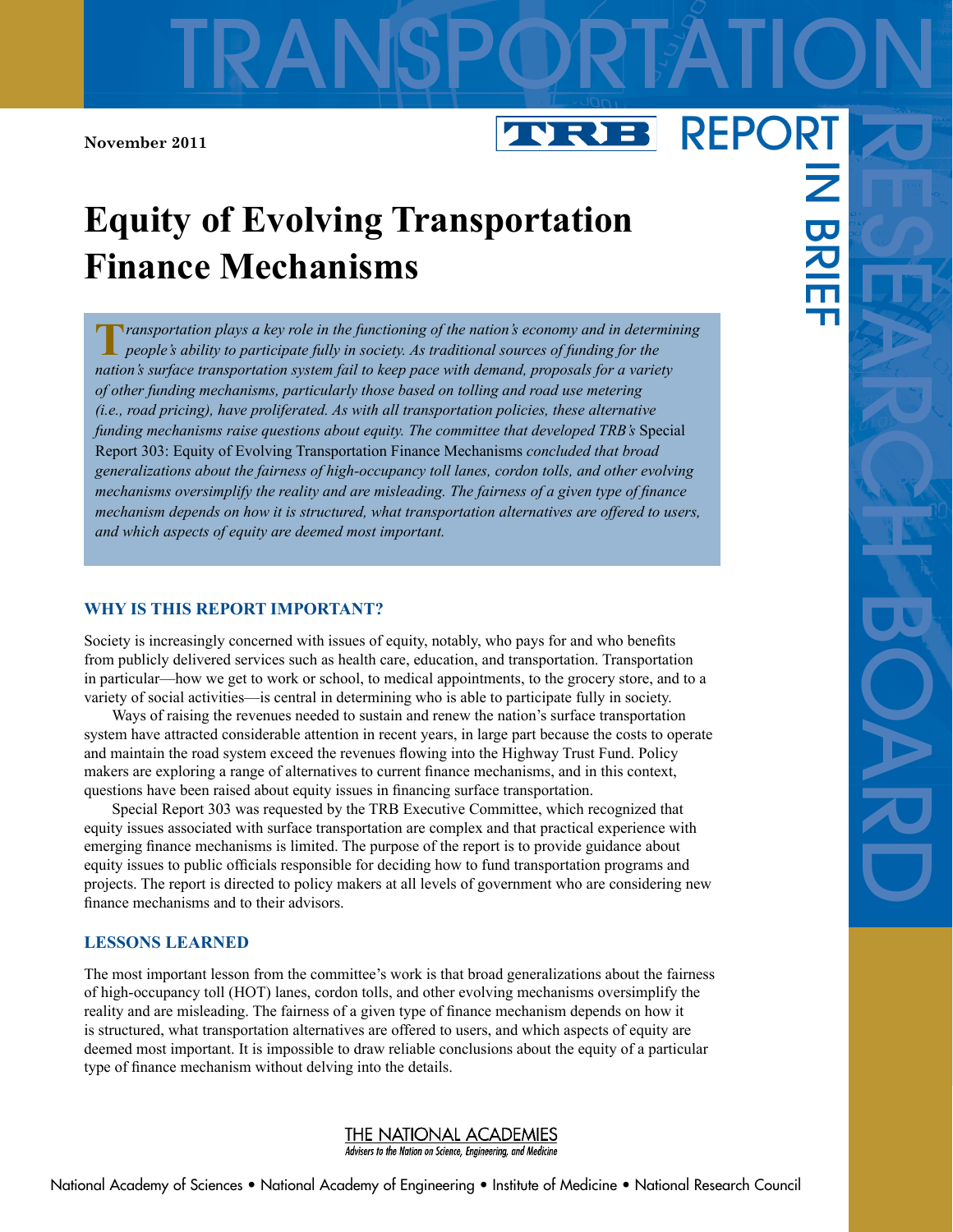# **Equity of Evolving Transportation Finance Mechanisms**

**T***ransportation plays a key role in the functioning of the nation's economy and in determining people's ability to participate fully in society. As traditional sources of funding for the nation's surface transportation system fail to keep pace with demand, proposals for a variety of other funding mechanisms, particularly those based on tolling and road use metering (i.e., road pricing), have proliferated. As with all transportation policies, these alternative funding mechanisms raise questions about equity. The committee that developed TRB's* Special Report 303: Equity of Evolving Transportation Finance Mechanisms *concluded that broad generalizations about the fairness of high-occupancy toll lanes, cordon tolls, and other evolving mechanisms oversimplify the reality and are misleading. The fairness of a given type of finance mechanism depends on how it is structured, what transportation alternatives are offered to users, and which aspects of equity are deemed most important.*

## **WHY IS THIS REPORT IMPORTANT?**

Society is increasingly concerned with issues of equity, notably, who pays for and who benefits from publicly delivered services such as health care, education, and transportation. Transportation in particular—how we get to work or school, to medical appointments, to the grocery store, and to a variety of social activities—is central in determining who is able to participate fully in society.

Ways of raising the revenues needed to sustain and renew the nation's surface transportation system have attracted considerable attention in recent years, in large part because the costs to operate and maintain the road system exceed the revenues flowing into the Highway Trust Fund. Policy makers are exploring a range of alternatives to current finance mechanisms, and in this context, questions have been raised about equity issues in financing surface transportation.

Special Report 303 was requested by the TRB Executive Committee, which recognized that equity issues associated with surface transportation are complex and that practical experience with emerging finance mechanisms is limited. The purpose of the report is to provide guidance about equity issues to public officials responsible for deciding how to fund transportation programs and projects. The report is directed to policy makers at all levels of government who are considering new finance mechanisms and to their advisors.

#### **LESSONS LEARNED**

The most important lesson from the committee's work is that broad generalizations about the fairness of high-occupancy toll (HOT) lanes, cordon tolls, and other evolving mechanisms oversimplify the reality and are misleading. The fairness of a given type of finance mechanism depends on how it is structured, what transportation alternatives are offered to users, and which aspects of equity are deemed most important. It is impossible to draw reliable conclusions about the equity of a particular type of finance mechanism without delving into the details.

#### THE NATIONAL ACADEMIES Advisers to the Nation on Science, Engineering, and Medicine

 $\overline{\mathbf{z}}$ 

BRI<br>H

#### REPORT**TVRI** B

TRANSPORTATION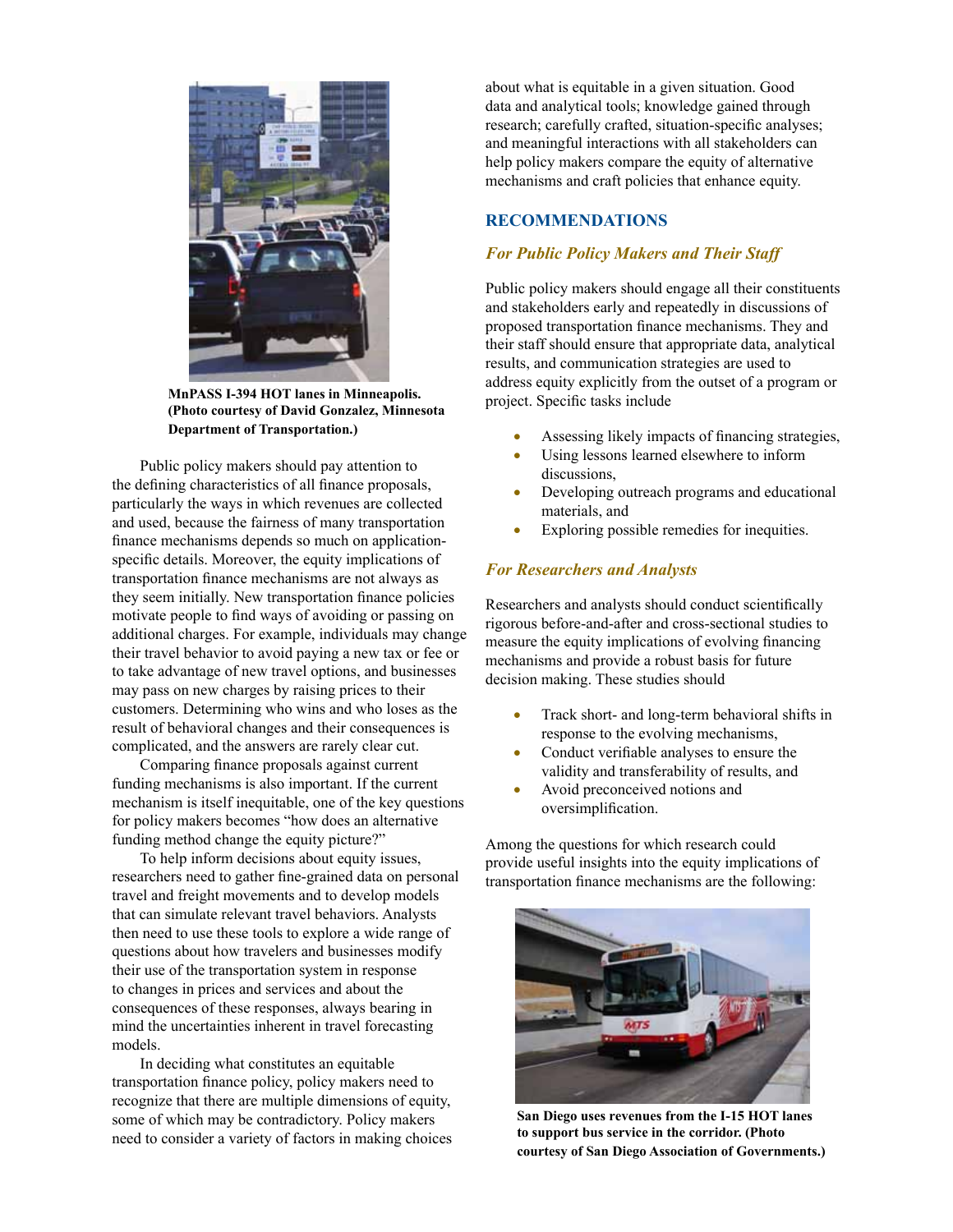

**MnPASS I-394 HOT lanes in Minneapolis. (Photo courtesy of David Gonzalez, Minnesota Department of Transportation.)**

Public policy makers should pay attention to the defining characteristics of all finance proposals, particularly the ways in which revenues are collected and used, because the fairness of many transportation finance mechanisms depends so much on applicationspecific details. Moreover, the equity implications of transportation finance mechanisms are not always as they seem initially. New transportation finance policies motivate people to find ways of avoiding or passing on additional charges. For example, individuals may change their travel behavior to avoid paying a new tax or fee or to take advantage of new travel options, and businesses may pass on new charges by raising prices to their customers. Determining who wins and who loses as the result of behavioral changes and their consequences is complicated, and the answers are rarely clear cut.

Comparing finance proposals against current funding mechanisms is also important. If the current mechanism is itself inequitable, one of the key questions for policy makers becomes "how does an alternative funding method change the equity picture?"

To help inform decisions about equity issues, researchers need to gather fine-grained data on personal travel and freight movements and to develop models that can simulate relevant travel behaviors. Analysts then need to use these tools to explore a wide range of questions about how travelers and businesses modify their use of the transportation system in response to changes in prices and services and about the consequences of these responses, always bearing in mind the uncertainties inherent in travel forecasting models.

In deciding what constitutes an equitable transportation finance policy, policy makers need to recognize that there are multiple dimensions of equity, some of which may be contradictory. Policy makers need to consider a variety of factors in making choices about what is equitable in a given situation. Good data and analytical tools; knowledge gained through research; carefully crafted, situation-specific analyses; and meaningful interactions with all stakeholders can help policy makers compare the equity of alternative mechanisms and craft policies that enhance equity.

## **RECOMMENDATIONS**

#### *For Public Policy Makers and Their Staff*

Public policy makers should engage all their constituents and stakeholders early and repeatedly in discussions of proposed transportation finance mechanisms. They and their staff should ensure that appropriate data, analytical results, and communication strategies are used to address equity explicitly from the outset of a program or project. Specific tasks include

- Assessing likely impacts of financing strategies,
- Using lessons learned elsewhere to inform discussions,
- Developing outreach programs and educational materials, and
- Exploring possible remedies for inequities.

#### *For Researchers and Analysts*

Researchers and analysts should conduct scientifically rigorous before-and-after and cross-sectional studies to measure the equity implications of evolving financing mechanisms and provide a robust basis for future decision making. These studies should

- Track short- and long-term behavioral shifts in response to the evolving mechanisms,
- Conduct verifiable analyses to ensure the validity and transferability of results, and
- Avoid preconceived notions and oversimplification.

Among the questions for which research could provide useful insights into the equity implications of transportation finance mechanisms are the following:



 **San Diego uses revenues from the I-15 HOT lanes to support bus service in the corridor. (Photo courtesy of San Diego Association of Governments.)**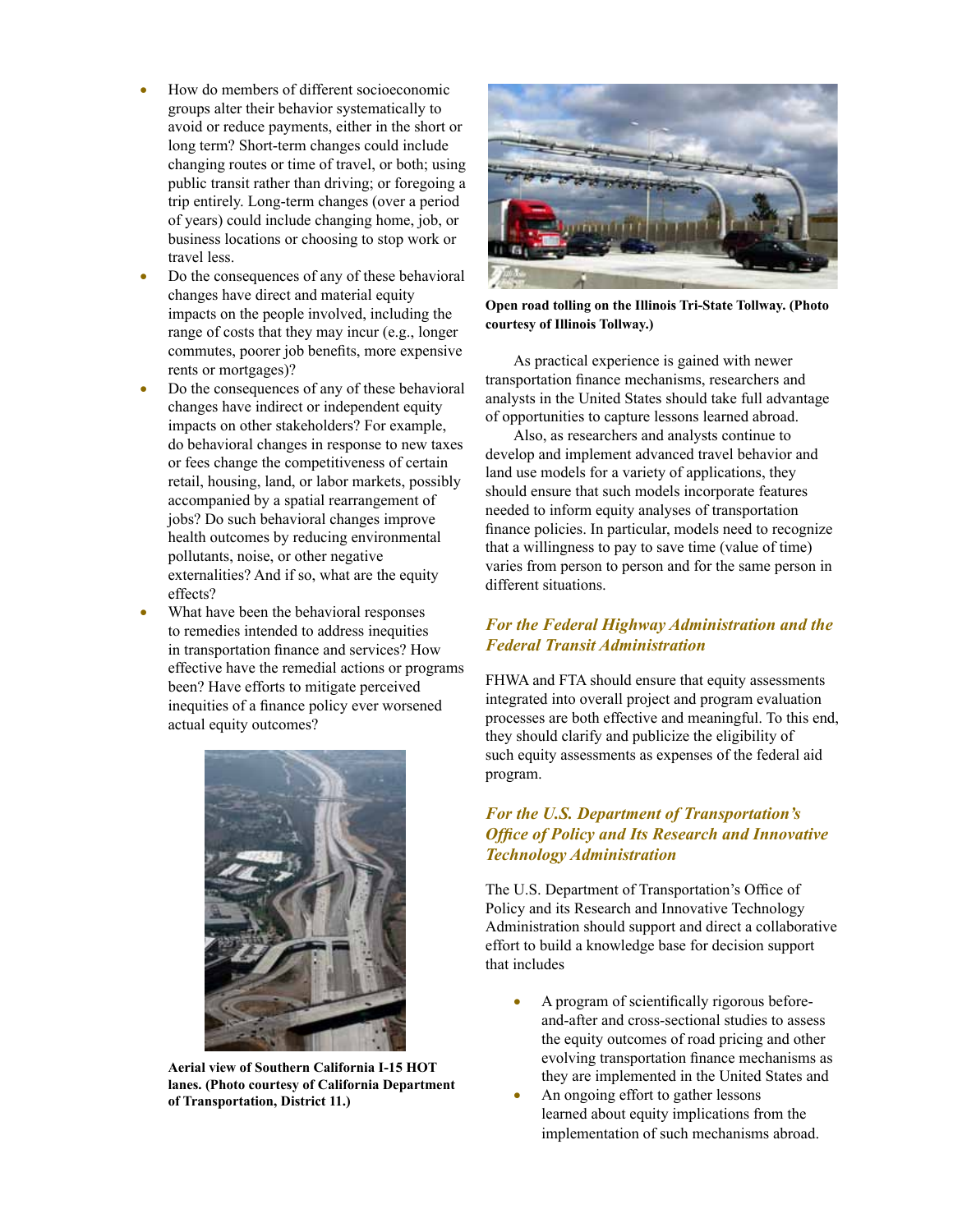- How do members of different socioeconomic groups alter their behavior systematically to avoid or reduce payments, either in the short or long term? Short-term changes could include changing routes or time of travel, or both; using public transit rather than driving; or foregoing a trip entirely. Long-term changes (over a period of years) could include changing home, job, or business locations or choosing to stop work or travel less.
- Do the consequences of any of these behavioral changes have direct and material equity impacts on the people involved, including the range of costs that they may incur (e.g., longer commutes, poorer job benefits, more expensive rents or mortgages)?
- Do the consequences of any of these behavioral changes have indirect or independent equity impacts on other stakeholders? For example, do behavioral changes in response to new taxes or fees change the competitiveness of certain retail, housing, land, or labor markets, possibly accompanied by a spatial rearrangement of jobs? Do such behavioral changes improve health outcomes by reducing environmental pollutants, noise, or other negative externalities? And if so, what are the equity effects?
- What have been the behavioral responses to remedies intended to address inequities in transportation finance and services? How effective have the remedial actions or programs been? Have efforts to mitigate perceived inequities of a finance policy ever worsened actual equity outcomes?



**Aerial view of Southern California I-15 HOT lanes. (Photo courtesy of California Department of Transportation, District 11.)**



**Open road tolling on the Illinois Tri-State Tollway. (Photo courtesy of Illinois Tollway.)**

As practical experience is gained with newer transportation finance mechanisms, researchers and analysts in the United States should take full advantage of opportunities to capture lessons learned abroad.

Also, as researchers and analysts continue to develop and implement advanced travel behavior and land use models for a variety of applications, they should ensure that such models incorporate features needed to inform equity analyses of transportation finance policies. In particular, models need to recognize that a willingness to pay to save time (value of time) varies from person to person and for the same person in different situations.

## *For the Federal Highway Administration and the Federal Transit Administration*

FHWA and FTA should ensure that equity assessments integrated into overall project and program evaluation processes are both effective and meaningful. To this end, they should clarify and publicize the eligibility of such equity assessments as expenses of the federal aid program.

# *For the U.S. Department of Transportation's Office of Policy and Its Research and Innovative Technology Administration*

The U.S. Department of Transportation's Office of Policy and its Research and Innovative Technology Administration should support and direct a collaborative effort to build a knowledge base for decision support that includes

- A program of scientifically rigorous beforeand-after and cross-sectional studies to assess the equity outcomes of road pricing and other evolving transportation finance mechanisms as they are implemented in the United States and
- An ongoing effort to gather lessons learned about equity implications from the implementation of such mechanisms abroad.